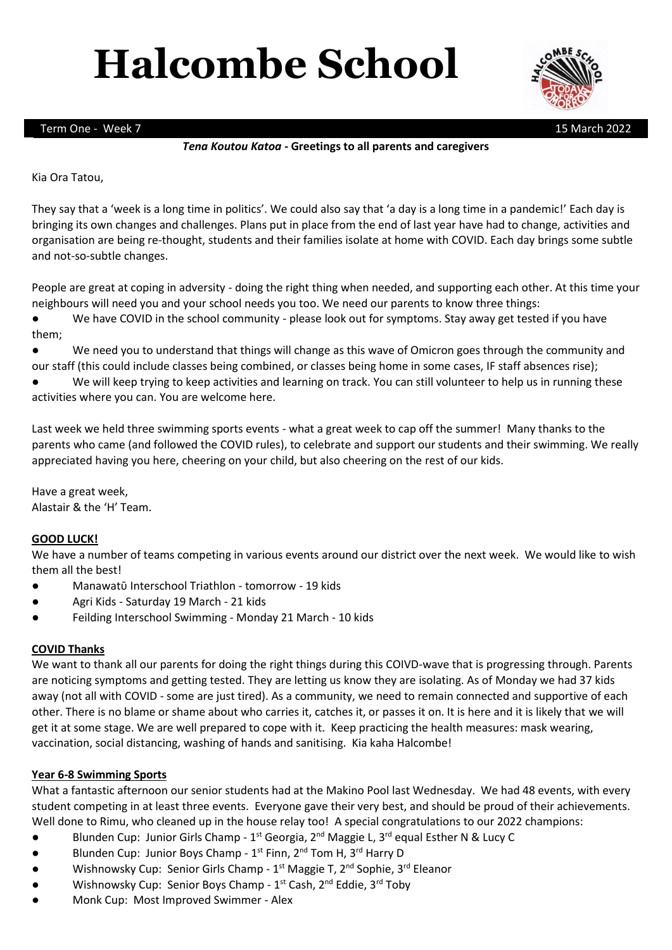# **Halcombe School**



Term One - Week 7 15 March 2022

# *Tena Koutou Katoa* **- Greetings to all parents and caregivers**

### Kia Ora Tatou,

They say that a 'week is a long time in politics'. We could also say that 'a day is a long time in a pandemic!' Each day is bringing its own changes and challenges. Plans put in place from the end of last year have had to change, activities and organisation are being re-thought, students and their families isolate at home with COVID. Each day brings some subtle and not-so-subtle changes.

People are great at coping in adversity - doing the right thing when needed, and supporting each other. At this time your neighbours will need you and your school needs you too. We need our parents to know three things:

● We have COVID in the school community - please look out for symptoms. Stay away get tested if you have them;

● We need you to understand that things will change as this wave of Omicron goes through the community and our staff (this could include classes being combined, or classes being home in some cases, IF staff absences rise);

We will keep trying to keep activities and learning on track. You can still volunteer to help us in running these activities where you can. You are welcome here.

Last week we held three swimming sports events - what a great week to cap off the summer! Many thanks to the parents who came (and followed the COVID rules), to celebrate and support our students and their swimming. We really appreciated having you here, cheering on your child, but also cheering on the rest of our kids.

Have a great week, Alastair & the 'H' Team.

#### **GOOD LUCK!**

We have a number of teams competing in various events around our district over the next week. We would like to wish them all the best!

- Manawatū Interschool Triathlon tomorrow 19 kids
- Agri Kids Saturday 19 March 21 kids
- Feilding Interschool Swimming Monday 21 March 10 kids

#### **COVID Thanks**

We want to thank all our parents for doing the right things during this COIVD-wave that is progressing through. Parents are noticing symptoms and getting tested. They are letting us know they are isolating. As of Monday we had 37 kids away (not all with COVID - some are just tired). As a community, we need to remain connected and supportive of each other. There is no blame or shame about who carries it, catches it, or passes it on. It is here and it is likely that we will get it at some stage. We are well prepared to cope with it. Keep practicing the health measures: mask wearing, vaccination, social distancing, washing of hands and sanitising. Kia kaha Halcombe!

#### **Year 6-8 Swimming Sports**

What a fantastic afternoon our senior students had at the Makino Pool last Wednesday. We had 48 events, with every student competing in at least three events. Everyone gave their very best, and should be proud of their achievements. Well done to Rimu, who cleaned up in the house relay too! A special congratulations to our 2022 champions:

- Blunden Cup: Junior Girls Champ 1<sup>st</sup> Georgia, 2<sup>nd</sup> Maggie L, 3<sup>rd</sup> equal Esther N & Lucy C
- **•** Blunden Cup: Junior Boys Champ  $1^{st}$  Finn,  $2^{nd}$  Tom H,  $3^{rd}$  Harry D
- Mishnowsky Cup: Senior Girls Champ 1<sup>st</sup> Maggie T, 2<sup>nd</sup> Sophie, 3<sup>rd</sup> Eleanor
- Wishnowsky Cup: Senior Boys Champ 1<sup>st</sup> Cash, 2<sup>nd</sup> Eddie, 3<sup>rd</sup> Toby
- Monk Cup: Most Improved Swimmer Alex